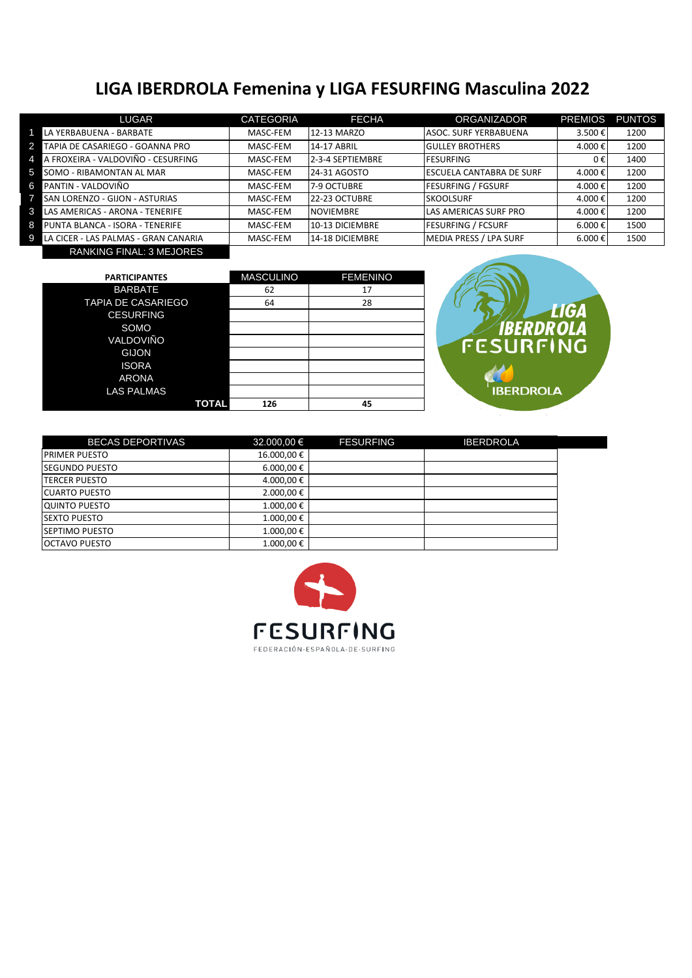## **LIGA IBERDROLA Femenina y LIGA FESURFING Masculina 2022**

| LUGAR                                             | <b>CATEGORIA</b> | <b>FECHA</b>     | <b>ORGANIZADOR</b>           | <b>PREMIOS</b> | <b>PUNTOS</b> |
|---------------------------------------------------|------------------|------------------|------------------------------|----------------|---------------|
| LA YERBABUENA - BARBATE                           | MASC-FEM         | 12-13 MARZO      | <b>ASOC. SURF YERBABUENA</b> | 3.500€         | 1200          |
| $\overline{2}$<br>TAPIA DE CASARIEGO - GOANNA PRO | MASC-FEM         | 14-17 ABRIL      | <b>IGULLEY BROTHERS</b>      | 4.000€         | 1200          |
| A FROXEIRA - VALDOVIÑO - CESURFING<br>4           | MASC-FEM         | 2-3-4 SEPTIEMBRE | <b>IFESURFING</b>            | 0€             | 1400          |
| 5.<br>SOMO - RIBAMONTAN AL MAR                    | MASC-FEM         | 24-31 AGOSTO     | IESCUELA CANTABRA DE SURF    | 4.000€         | 1200          |
| PANTIN - VALDOVIÑO<br>6                           | MASC-FEM         | 7-9 OCTUBRE      | <b>FESURFING / FGSURF</b>    | 4.000€         | 1200          |
| SAN LORENZO - GIJON - ASTURIAS                    | MASC-FEM         | 22-23 OCTUBRE    | <b>SKOOLSURF</b>             | 4.000€         | 1200          |
| 3<br>LAS AMERICAS - ARONA - TENERIFE              | MASC-FEM         | <b>NOVIEMBRE</b> | LAS AMERICAS SURF PRO        | 4.000€         | 1200          |
| 8<br>PUNTA BLANCA - ISORA - TENERIFE              | MASC-FEM         | 10-13 DICIEMBRE  | <b>FESURFING / FCSURF</b>    | 6.000 €        | 1500          |
| LA CICER - LAS PALMAS - GRAN CANARIA<br>9         | MASC-FEM         | 14-18 DICIEMBRE  | MEDIA PRESS / LPA SURF       | 6.000 €        | 1500          |

RANKING FINAL: 3 MEJORES

| <b>PARTICIPANTES</b>      | <b>MASCULINO</b> | <b>FEMENINO</b> |
|---------------------------|------------------|-----------------|
| <b>BARBATE</b>            | 62               | 17              |
| <b>TAPIA DE CASARIEGO</b> | 64               | 28              |
| <b>CESURFING</b>          |                  |                 |
| SOMO                      |                  |                 |
| VALDOVIÑO                 |                  |                 |
| <b>GIJON</b>              |                  |                 |
| <b>ISORA</b>              |                  |                 |
| <b>ARONA</b>              |                  |                 |
| <b>LAS PALMAS</b>         |                  |                 |
| TOTAL                     | 126              | 45              |



| <b>BECAS DEPORTIVAS</b> | 32.000,00 €       | <b>FESURFING</b> | <b>IBERDROLA</b> |
|-------------------------|-------------------|------------------|------------------|
| <b>PRIMER PUESTO</b>    | 16.000,00€        |                  |                  |
| <b>SEGUNDO PUESTO</b>   | $6.000,00 \notin$ |                  |                  |
| <b>ITERCER PUESTO</b>   | 4.000,00€         |                  |                  |
| <b>CUARTO PUESTO</b>    | 2.000,00 €        |                  |                  |
| <b>QUINTO PUESTO</b>    | 1.000,00€         |                  |                  |
| <b>SEXTO PUESTO</b>     | 1.000,00€         |                  |                  |
| <b>SEPTIMO PUESTO</b>   | 1.000,00€         |                  |                  |
| <b>OCTAVO PUESTO</b>    | 1.000,00€         |                  |                  |

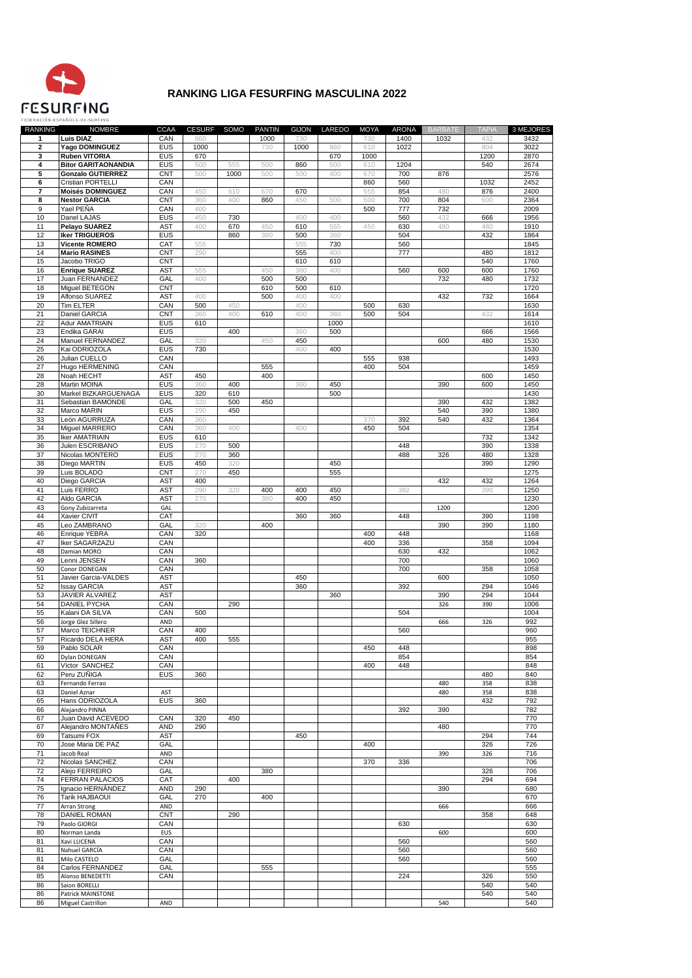

## **RANKING LIGA FESURFING MASCULINA 2022**

CESURF SOMO PANTIN GIJON LAREDO MOYA RANKING **NOMBRE CCAA** ARONA 3 MEJORES **BATE** Luis DIAZ  $CAN$  $\overline{A}$ Yago DOMINGUEZ  $EUS$  $\overline{2}$ **Ruben VITORIA** EUS  $\overline{ }$ **Ritor GARITAONANDIA FUS**  $120A$  $267/$  $\overline{5}$ **CNT Gonzalo GUTIERREZ**  $\overline{\phantom{a}}$ Cristian PORTELLI CAN Moisés DOMINGUEZ CAN  $\overline{\mathbf{z}}$  $\overline{\mathbf{8}}$ **Nestor GARCIA CNT** CAN  $\overline{9}$ Yael PEÑA  $4($ anel LAJA EUS **Pelavo SUAREZ AST Iker TRIGUEROS** EUS Vicente ROMERO CAT **Mario RASINES** CNT  $\frac{1}{15}$  $\frac{1}{\text{CNT}}$ Jacobo TRIGO Enrique SUAREZ **AST**  $\overline{17}$ luan EERNANDEZ  $GAI$  $\overline{AB}$  $\frac{37}{10}$  $\overline{18}$ Miquel BETEGON **AST** Alfonso SUAREZ CAN **Tim ELTER** Daniel GARCIA **CNT** Adur AMATRIAIN  $EUS$ ndika GARAI EUS Manuel EERNANDEZ  $G\Delta$ Kai ODRIOZOLA EUS Julian CUELLO CAN Hugo HERMENING  $\overline{27}$  $CAN$  $145C$ AST Noah HECHT EUS **Martin MOINA** จก Markel BIZKARCLIENACA **FIIS**  $1/30$ Sebastian BAMONDE GAL Marco MARIN EUS eón AGURRUZ CAN<br>CAN  $\frac{33}{34}$ Miquel MARRERO  $135<sub>1</sub>$  $\frac{1}{35}$ **Iker AMATRIAIN**  $EUS$ Julen ESCRIBANO EUS  $\overline{37}$ Nicolas MONTERO EUS Diego MARTIN  $EUS$ uis BOLADO **CNT**  $\overline{40}$ Diego GARCIA A ST  $\frac{1}{41}$ Luis FERRO AST AST Aldo GARCIA  $27($ iony Zubizarreta GAL<br>CAT Kavier CIVIT Leo ZAMBRANO GAL nrique YEBRA CAN ker SAGARZAZL CAN CAN Damian MORO enni JENSEN CAN **Conor DONEGAN** CAN AST  $\overline{51}$ Javier Garcia-VALDES ssay GARCIA AST **IAVIER ALVAREZ AST**  $20*A*$ **DANIEL PYCHA** CAN Kalani DA SILVA CAN AND<br>CAN  $\frac{56}{57}$ orge Glez Sillero arco TEICHNER Ricardo DELA HER/ **AST** CAN<br>CAN Pablo SOLAF **Ovlan DONEGAI**  $\frac{1}{61}$ Víctor SANCHE CAN  $\frac{1}{448}$  $rac{1}{848}$ EUS eru ZUÑIGA :<br>Pernando Ferrai AST Daniel Aznar Hans ODRIOZOLA EUS **Nejandro PINNA** Juan David ACEVEDO CAN Alejandro MONTAÑES AND AST<br>GAL 294<br>326 Tatsumi FOX Jose Maria DE PA2  $\overline{71}$ Jacob Real AND Nicolas SANCHEZ<br>Alejo FERREIRO CAN  $\frac{72}{72}$ GAI  $70<sub>6</sub>$  $\frac{1}{74}$ FERRAN PALACIOS CAT gnacio HERNÁNDEZ AND 290<br>270  $\overline{76}$ GAI  $\overline{77}$ **Arran Strong** AND **DANIEL ROMAN** CNT CAN Paolo GIORG Jorman Landa EUS CAN Xavi LUCENA CAN<br>GAL 560<br>560 lahuel GARCÍA Ailo CASTELO Carlos FERNANDEZ GAL CAN  $\frac{326}{540}$ lonso BENEDETTI ion BORELLI  $\frac{8}{541}$  $rac{10}{540}$ Patrick MAINSTONE **Miguel Castrillon** AND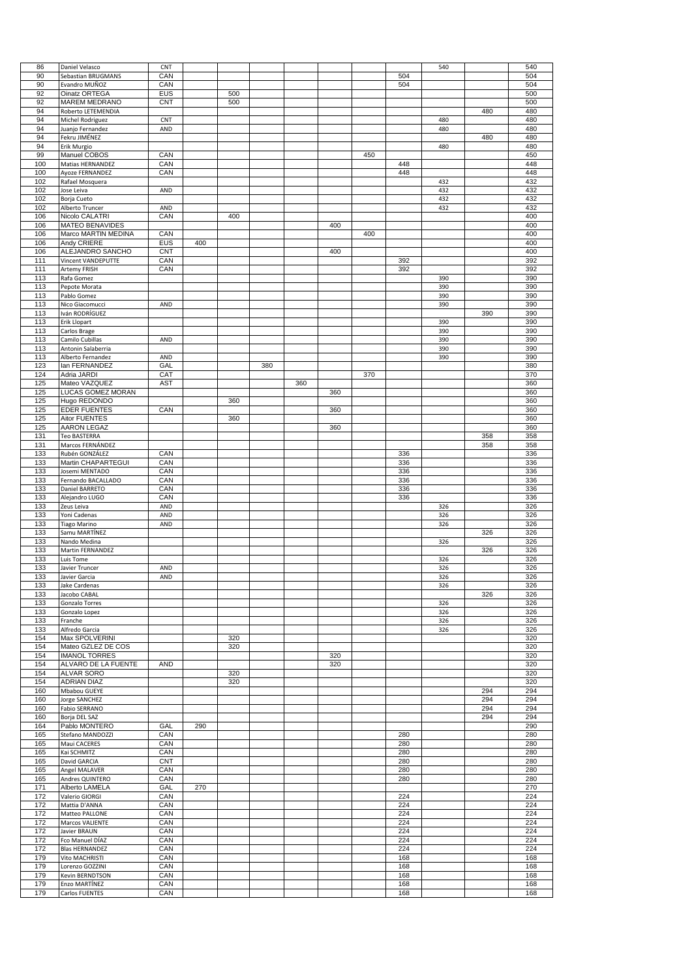| 86  | Daniel Velasco         | CNT        |     |     |     |     |     |     |     | 540 |     | 540 |
|-----|------------------------|------------|-----|-----|-----|-----|-----|-----|-----|-----|-----|-----|
| 90  | Sebastian BRUGMANS     | CAN        |     |     |     |     |     |     | 504 |     |     | 504 |
| 90  | Evandro MUÑOZ          | CAN        |     |     |     |     |     |     | 504 |     |     | 504 |
|     |                        |            |     |     |     |     |     |     |     |     |     |     |
| 92  | Oinatz ORTEGA          | <b>EUS</b> |     | 500 |     |     |     |     |     |     |     | 500 |
| 92  | MAREM MEDRANO          | CNT        |     | 500 |     |     |     |     |     |     |     | 500 |
| 94  | Roberto LETEMENDIA     |            |     |     |     |     |     |     |     |     | 480 | 480 |
| 94  | Michel Rodriguez       | CNT        |     |     |     |     |     |     |     | 480 |     | 480 |
| 94  | Juanjo Fernandez       | AND        |     |     |     |     |     |     |     | 480 |     | 480 |
|     |                        |            |     |     |     |     |     |     |     |     |     |     |
| 94  | Fekru JIMÉNEZ          |            |     |     |     |     |     |     |     |     | 480 | 480 |
| 94  | Erik Murgio            |            |     |     |     |     |     |     |     | 480 |     | 480 |
| 99  | Manuel COBOS           | CAN        |     |     |     |     |     | 450 |     |     |     | 450 |
| 100 | Matias HERNANDEZ       | CAN        |     |     |     |     |     |     | 448 |     |     | 448 |
| 100 |                        |            |     |     |     |     |     |     | 448 |     |     | 448 |
|     | Ayoze FERNANDEZ        | CAN        |     |     |     |     |     |     |     |     |     |     |
| 102 | Rafael Mosquera        |            |     |     |     |     |     |     |     | 432 |     | 432 |
| 102 | Jose Leiva             | AND        |     |     |     |     |     |     |     | 432 |     | 432 |
| 102 | Borja Cueto            |            |     |     |     |     |     |     |     | 432 |     | 432 |
| 102 |                        | AND        |     |     |     |     |     |     |     |     |     | 432 |
|     | Alberto Truncer        |            |     |     |     |     |     |     |     | 432 |     |     |
| 106 | Nicolo CALATRI         | CAN        |     | 400 |     |     |     |     |     |     |     | 400 |
| 106 | <b>MATEO BENAVIDES</b> |            |     |     |     |     | 400 |     |     |     |     | 400 |
| 106 | Marco MARTIN MEDINA    | CAN        |     |     |     |     |     | 400 |     |     |     | 400 |
| 106 | Andy CRIERE            | <b>EUS</b> | 400 |     |     |     |     |     |     |     |     | 400 |
|     |                        |            |     |     |     |     |     |     |     |     |     |     |
| 106 | ALEJANDRO SANCHO       | <b>CNT</b> |     |     |     |     | 400 |     |     |     |     | 400 |
| 111 | Vincent VANDEPUTTE     | CAN        |     |     |     |     |     |     | 392 |     |     | 392 |
| 111 | Artemy FRISH           | CAN        |     |     |     |     |     |     | 392 |     |     | 392 |
| 113 | Rafa Gomez             |            |     |     |     |     |     |     |     | 390 |     | 390 |
|     |                        |            |     |     |     |     |     |     |     |     |     |     |
| 113 | Pepote Morata          |            |     |     |     |     |     |     |     | 390 |     | 390 |
| 113 | Pablo Gomez            |            |     |     |     |     |     |     |     | 390 |     | 390 |
| 113 | Nico Giacomucci        | AND        |     |     |     |     |     |     |     | 390 |     | 390 |
| 113 | Iván RODRÍGUEZ         |            |     |     |     |     |     |     |     |     | 390 | 390 |
|     |                        |            |     |     |     |     |     |     |     |     |     |     |
| 113 | Erik Llopart           |            |     |     |     |     |     |     |     | 390 |     | 390 |
| 113 | Carlos Brage           |            |     |     |     |     |     |     |     | 390 |     | 390 |
| 113 | Camilo Cubillas        | AND        |     |     |     |     |     |     |     | 390 |     | 390 |
| 113 | Antonin Salaberria     |            |     |     |     |     |     |     |     | 390 |     | 390 |
|     |                        |            |     |     |     |     |     |     |     |     |     |     |
| 113 | Alberto Fernandez      | AND        |     |     |     |     |     |     |     | 390 |     | 390 |
| 123 | lan FERNANDEZ          | GAL        |     |     | 380 |     |     |     |     |     |     | 380 |
| 124 | Adria JARDI            | CAT        |     |     |     |     |     | 370 |     |     |     | 370 |
| 125 | Mateo VAZQUEZ          | <b>AST</b> |     |     |     | 360 |     |     |     |     |     | 360 |
|     |                        |            |     |     |     |     | 360 |     |     |     |     |     |
| 125 | LUCAS GOMEZ MORAN      |            |     |     |     |     |     |     |     |     |     | 360 |
| 125 | Hugo REDONDO           |            |     | 360 |     |     |     |     |     |     |     | 360 |
| 125 | <b>EDER FUENTES</b>    | CAN        |     |     |     |     | 360 |     |     |     |     | 360 |
| 125 | Aitor FUENTES          |            |     | 360 |     |     |     |     |     |     |     | 360 |
|     |                        |            |     |     |     |     |     |     |     |     |     |     |
| 125 | <b>AARON LEGAZ</b>     |            |     |     |     |     | 360 |     |     |     |     | 360 |
| 131 | <b>Teo BASTERRA</b>    |            |     |     |     |     |     |     |     |     | 358 | 358 |
| 131 | Marcos FERNÁNDEZ       |            |     |     |     |     |     |     |     |     | 358 | 358 |
| 133 | Rubén GONZÁLEZ         | CAN        |     |     |     |     |     |     | 336 |     |     | 336 |
|     |                        |            |     |     |     |     |     |     |     |     |     |     |
| 133 | Martin CHAPARTEGUI     | CAN        |     |     |     |     |     |     | 336 |     |     | 336 |
| 133 | Josemi MENTADO         | CAN        |     |     |     |     |     |     | 336 |     |     | 336 |
| 133 | Fernando BACALLADO     | CAN        |     |     |     |     |     |     | 336 |     |     | 336 |
| 133 | Daniel BARRETO         | CAN        |     |     |     |     |     |     | 336 |     |     | 336 |
|     |                        |            |     |     |     |     |     |     |     |     |     |     |
|     |                        |            |     |     |     |     |     |     |     |     |     |     |
| 133 | Alejandro LUGO         | CAN        |     |     |     |     |     |     | 336 |     |     | 336 |
| 133 | Zeus Leiva             | AND        |     |     |     |     |     |     |     | 326 |     | 326 |
|     |                        |            |     |     |     |     |     |     |     |     |     |     |
| 133 | Yoni Cadenas           | AND        |     |     |     |     |     |     |     | 326 |     | 326 |
| 133 | <b>Tiago Marino</b>    | AND        |     |     |     |     |     |     |     | 326 |     | 326 |
| 133 | Samu MARTÍNEZ          |            |     |     |     |     |     |     |     |     | 326 | 326 |
| 133 | Nando Medina           |            |     |     |     |     |     |     |     | 326 |     | 326 |
| 133 | Martin FERNANDEZ       |            |     |     |     |     |     |     |     |     | 326 | 326 |
|     |                        |            |     |     |     |     |     |     |     |     |     |     |
| 133 | Luis Tome              |            |     |     |     |     |     |     |     | 326 |     | 326 |
| 133 | Javier Truncer         | AND        |     |     |     |     |     |     |     | 326 |     | 326 |
| 133 | Javier Garcia          | AND        |     |     |     |     |     |     |     | 326 |     | 326 |
| 133 | Jake Cardenas          |            |     |     |     |     |     |     |     | 326 |     | 326 |
|     |                        |            |     |     |     |     |     |     |     |     |     |     |
| 133 | Jacobo CABAL           |            |     |     |     |     |     |     |     |     | 326 | 326 |
| 133 | Gonzalo Torres         |            |     |     |     |     |     |     |     | 326 |     | 326 |
| 133 | Gonzalo Lopez          |            |     |     |     |     |     |     |     | 326 |     | 326 |
| 133 | Franche                |            |     |     |     |     |     |     |     | 326 |     | 326 |
| 133 | Alfredo Garcia         |            |     |     |     |     |     |     |     |     |     | 326 |
|     |                        |            |     |     |     |     |     |     |     | 326 |     |     |
| 154 | Max SPOLVERINI         |            |     | 320 |     |     |     |     |     |     |     | 320 |
| 154 | Mateo GZLEZ DE COS     |            |     | 320 |     |     |     |     |     |     |     | 320 |
| 154 | <b>IMANOL TORRES</b>   |            |     |     |     |     | 320 |     |     |     |     | 320 |
| 154 | ALVARO DE LA FUENTE    | <b>AND</b> |     |     |     |     | 320 |     |     |     |     | 320 |
| 154 | ALVAR SORO             |            |     | 320 |     |     |     |     |     |     |     | 320 |
|     |                        |            |     |     |     |     |     |     |     |     |     |     |
| 154 | <b>ADRIAN DIAZ</b>     |            |     | 320 |     |     |     |     |     |     |     | 320 |
| 160 | Mbabou GUEYE           |            |     |     |     |     |     |     |     |     | 294 | 294 |
| 160 | Jorge SANCHEZ          |            |     |     |     |     |     |     |     |     | 294 | 294 |
| 160 |                        |            |     |     |     |     |     |     |     |     | 294 | 294 |
|     | Fabio SERRANO          |            |     |     |     |     |     |     |     |     |     |     |
| 160 | Borja DEL SAZ          |            |     |     |     |     |     |     |     |     | 294 | 294 |
| 164 | Pablo MONTERO          | GAL        | 290 |     |     |     |     |     |     |     |     | 290 |
| 165 | Stefano MANDOZZI       | CAN        |     |     |     |     |     |     | 280 |     |     | 280 |
| 165 | Maui CACERES           | CAN        |     |     |     |     |     |     | 280 |     |     | 280 |
|     |                        |            |     |     |     |     |     |     |     |     |     |     |
| 165 | Kai SCHMITZ            | CAN        |     |     |     |     |     |     | 280 |     |     | 280 |
| 165 | David GARCIA           | <b>CNT</b> |     |     |     |     |     |     | 280 |     |     | 280 |
| 165 | Angel MALAVER          | CAN        |     |     |     |     |     |     | 280 |     |     | 280 |
| 165 | Andres QUINTERO        | CAN        |     |     |     |     |     |     | 280 |     |     | 280 |
|     |                        |            |     |     |     |     |     |     |     |     |     |     |
| 171 | Alberto LAMELA         | GAL        | 270 |     |     |     |     |     |     |     |     | 270 |
| 172 | Valerio GIORGI         | CAN        |     |     |     |     |     |     | 224 |     |     | 224 |
| 172 | Mattia D'ANNA          | CAN        |     |     |     |     |     |     | 224 |     |     | 224 |
| 172 |                        | CAN        |     |     |     |     |     |     | 224 |     |     | 224 |
|     | Matteo PALLONE         |            |     |     |     |     |     |     |     |     |     |     |
| 172 | Marcos VALIENTE        | CAN        |     |     |     |     |     |     | 224 |     |     | 224 |
| 172 | Javier BRAUN           | CAN        |     |     |     |     |     |     | 224 |     |     | 224 |
| 172 | Fco Manuel DÍAZ        | CAN        |     |     |     |     |     |     | 224 |     |     | 224 |
| 172 |                        | CAN        |     |     |     |     |     |     | 224 |     |     |     |
|     | <b>Blas HERNANDEZ</b>  |            |     |     |     |     |     |     |     |     |     | 224 |
| 179 | Vito MACHRISTI         | CAN        |     |     |     |     |     |     | 168 |     |     | 168 |
| 179 | Lorenzo GOZZINI        | CAN        |     |     |     |     |     |     | 168 |     |     | 168 |
| 179 | Kevin BERNDTSON        | CAN        |     |     |     |     |     |     | 168 |     |     | 168 |
| 179 | Enzo MARTÍNEZ          | CAN        |     |     |     |     |     |     | 168 |     |     | 168 |
| 179 | Carlos FUENTES         | CAN        |     |     |     |     |     |     | 168 |     |     | 168 |